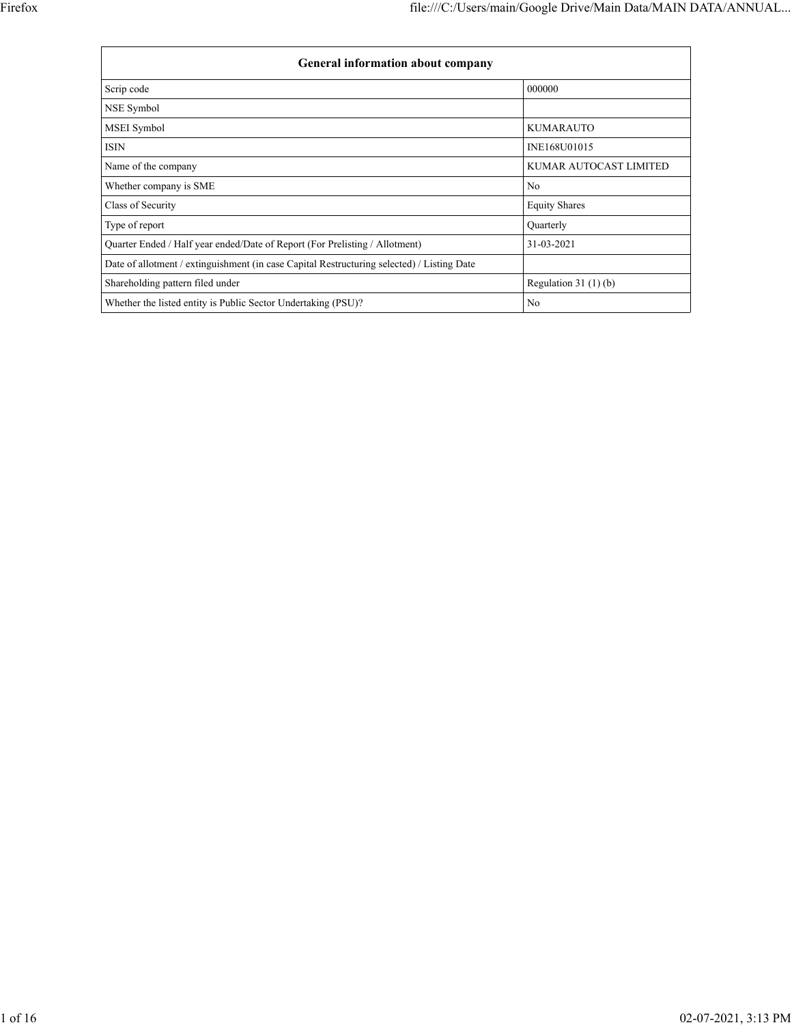| <b>General information about company</b>                                                   |                        |
|--------------------------------------------------------------------------------------------|------------------------|
| Scrip code                                                                                 | 000000                 |
| NSE Symbol                                                                                 |                        |
| <b>MSEI</b> Symbol                                                                         | <b>KUMARAUTO</b>       |
| ISIN                                                                                       | INE168U01015           |
| Name of the company                                                                        | KUMAR AUTOCAST LIMITED |
| Whether company is SME                                                                     | N <sub>0</sub>         |
| Class of Security                                                                          | <b>Equity Shares</b>   |
| Type of report                                                                             | Quarterly              |
| Quarter Ended / Half year ended/Date of Report (For Prelisting / Allotment)                | 31-03-2021             |
| Date of allotment / extinguishment (in case Capital Restructuring selected) / Listing Date |                        |
| Shareholding pattern filed under                                                           | Regulation $31(1)(b)$  |
| Whether the listed entity is Public Sector Undertaking (PSU)?                              | No                     |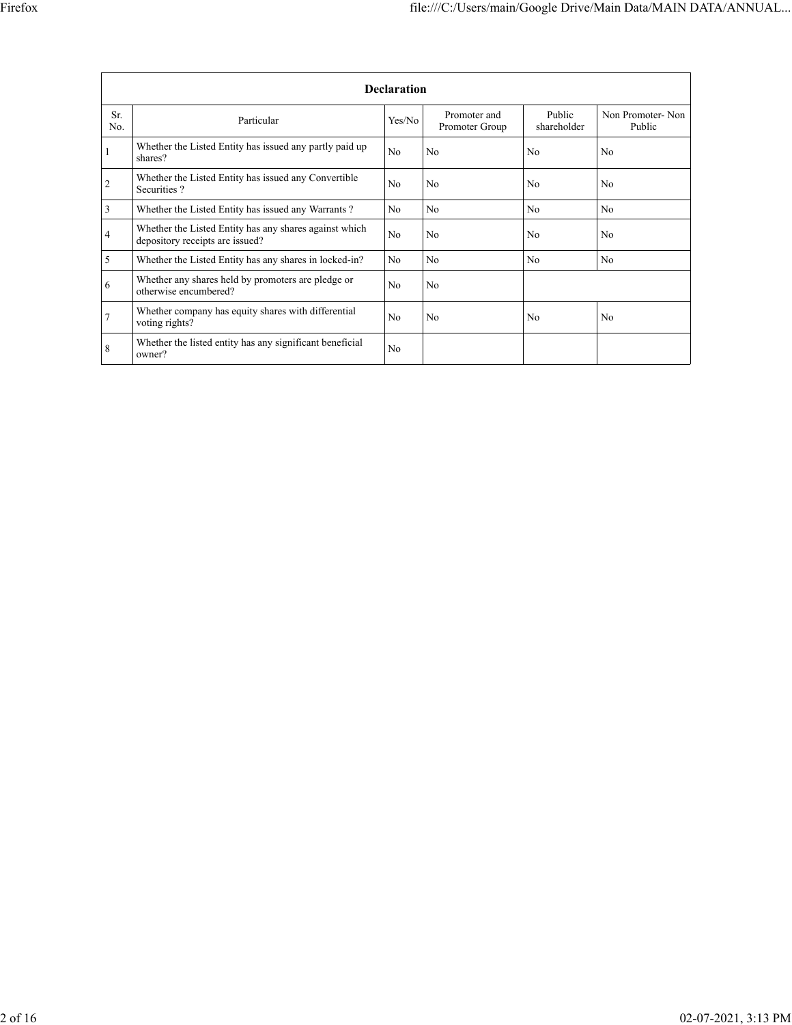|                | <b>Declaration</b>                                                                        |                |                                |                       |                            |  |  |  |  |  |  |  |
|----------------|-------------------------------------------------------------------------------------------|----------------|--------------------------------|-----------------------|----------------------------|--|--|--|--|--|--|--|
| Sr.<br>No.     | Particular                                                                                | Yes/No         | Promoter and<br>Promoter Group | Public<br>shareholder | Non Promoter-Non<br>Public |  |  |  |  |  |  |  |
|                | Whether the Listed Entity has issued any partly paid up<br>shares?                        | N <sub>o</sub> | N <sub>0</sub>                 | N <sub>0</sub>        | N <sub>0</sub>             |  |  |  |  |  |  |  |
| $\overline{c}$ | Whether the Listed Entity has issued any Convertible<br>Securities?                       | N <sub>0</sub> | N <sub>0</sub>                 | N <sub>o</sub>        | N <sub>0</sub>             |  |  |  |  |  |  |  |
| 3              | Whether the Listed Entity has issued any Warrants?                                        | N <sub>o</sub> | N <sub>0</sub>                 | N <sub>o</sub>        | N <sub>0</sub>             |  |  |  |  |  |  |  |
| 4              | Whether the Listed Entity has any shares against which<br>depository receipts are issued? | N <sub>0</sub> | N <sub>0</sub>                 | N <sub>0</sub>        | N <sub>0</sub>             |  |  |  |  |  |  |  |
| 5              | Whether the Listed Entity has any shares in locked-in?                                    | N <sub>o</sub> | N <sub>0</sub>                 | N <sub>0</sub>        | No.                        |  |  |  |  |  |  |  |
| 6              | Whether any shares held by promoters are pledge or<br>otherwise encumbered?               | N <sub>o</sub> | N <sub>0</sub>                 |                       |                            |  |  |  |  |  |  |  |
| 7              | Whether company has equity shares with differential<br>voting rights?                     | N <sub>0</sub> | No                             | N <sub>0</sub>        | N <sub>0</sub>             |  |  |  |  |  |  |  |
| 8              | Whether the listed entity has any significant beneficial<br>owner?                        | N <sub>o</sub> |                                |                       |                            |  |  |  |  |  |  |  |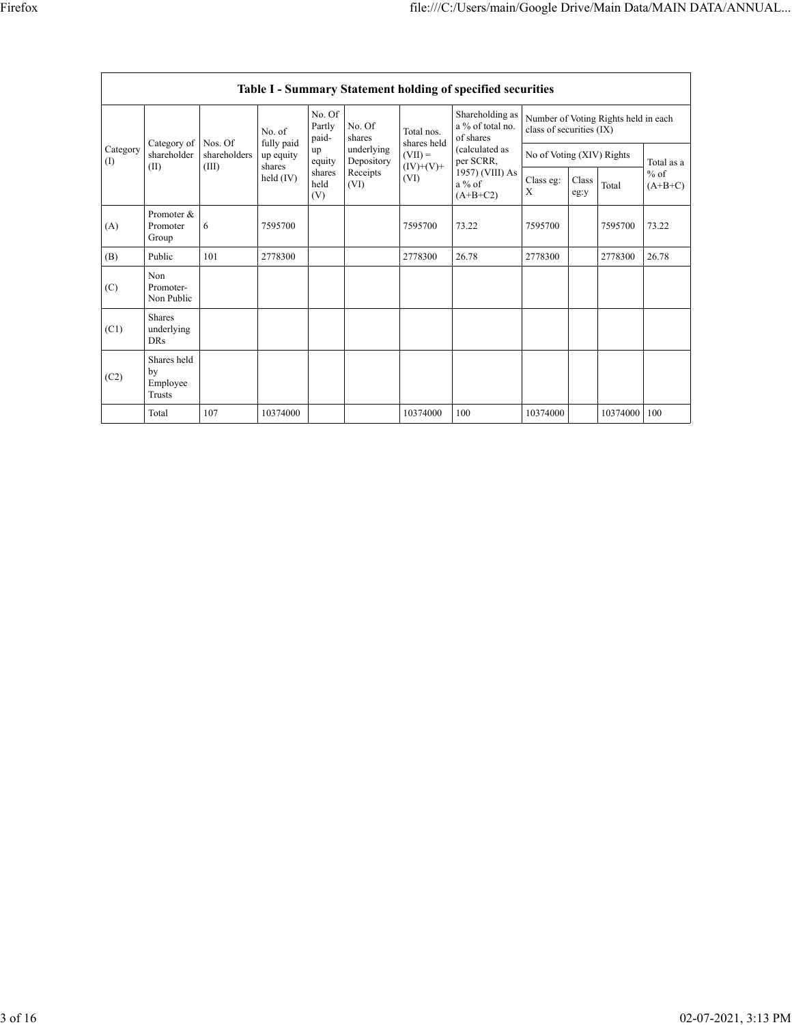|                 | <b>Table I - Summary Statement holding of specified securities</b> |                         |                         |                           |                          |                                                               |                                                                                                                              |                                                                  |               |          |                                   |  |  |
|-----------------|--------------------------------------------------------------------|-------------------------|-------------------------|---------------------------|--------------------------|---------------------------------------------------------------|------------------------------------------------------------------------------------------------------------------------------|------------------------------------------------------------------|---------------|----------|-----------------------------------|--|--|
|                 | Category of<br>shareholder<br>(II)                                 |                         | No. of                  | No. Of<br>Partly<br>paid- | No. Of<br>shares         | Total nos.<br>shares held<br>$(VII) =$<br>$(IV)+(V)+$<br>(VI) | Shareholding as<br>a % of total no.<br>of shares<br>(calculated as<br>per SCRR,<br>1957) (VIII) As<br>$a\%$ of<br>$(A+B+C2)$ | Number of Voting Rights held in each<br>class of securities (IX) |               |          |                                   |  |  |
| Category<br>(I) |                                                                    | Nos. Of<br>shareholders | fully paid<br>up equity | up<br>equity              | underlying<br>Depository |                                                               |                                                                                                                              | No of Voting (XIV) Rights                                        |               |          | Total as a<br>$%$ of<br>$(A+B+C)$ |  |  |
|                 |                                                                    | (III)                   | shares<br>held $(IV)$   | shares<br>held<br>(V)     | Receipts<br>(VI)         |                                                               |                                                                                                                              | Class eg:<br>X                                                   | Class<br>eg:y | Total    |                                   |  |  |
| (A)             | Promoter &<br>Promoter<br>Group                                    | 6                       | 7595700                 |                           |                          | 7595700                                                       | 73.22                                                                                                                        | 7595700                                                          |               | 7595700  | 73.22                             |  |  |
| (B)             | Public                                                             | 101                     | 2778300                 |                           |                          | 2778300                                                       | 26.78                                                                                                                        | 2778300                                                          |               | 2778300  | 26.78                             |  |  |
| (C)             | Non<br>Promoter-<br>Non Public                                     |                         |                         |                           |                          |                                                               |                                                                                                                              |                                                                  |               |          |                                   |  |  |
| (C1)            | <b>Shares</b><br>underlying<br><b>DRs</b>                          |                         |                         |                           |                          |                                                               |                                                                                                                              |                                                                  |               |          |                                   |  |  |
| (C2)            | Shares held<br>by<br>Employee<br>Trusts                            |                         |                         |                           |                          |                                                               |                                                                                                                              |                                                                  |               |          |                                   |  |  |
|                 | Total                                                              | 107                     | 10374000                |                           |                          | 10374000                                                      | 100                                                                                                                          | 10374000                                                         |               | 10374000 | 100                               |  |  |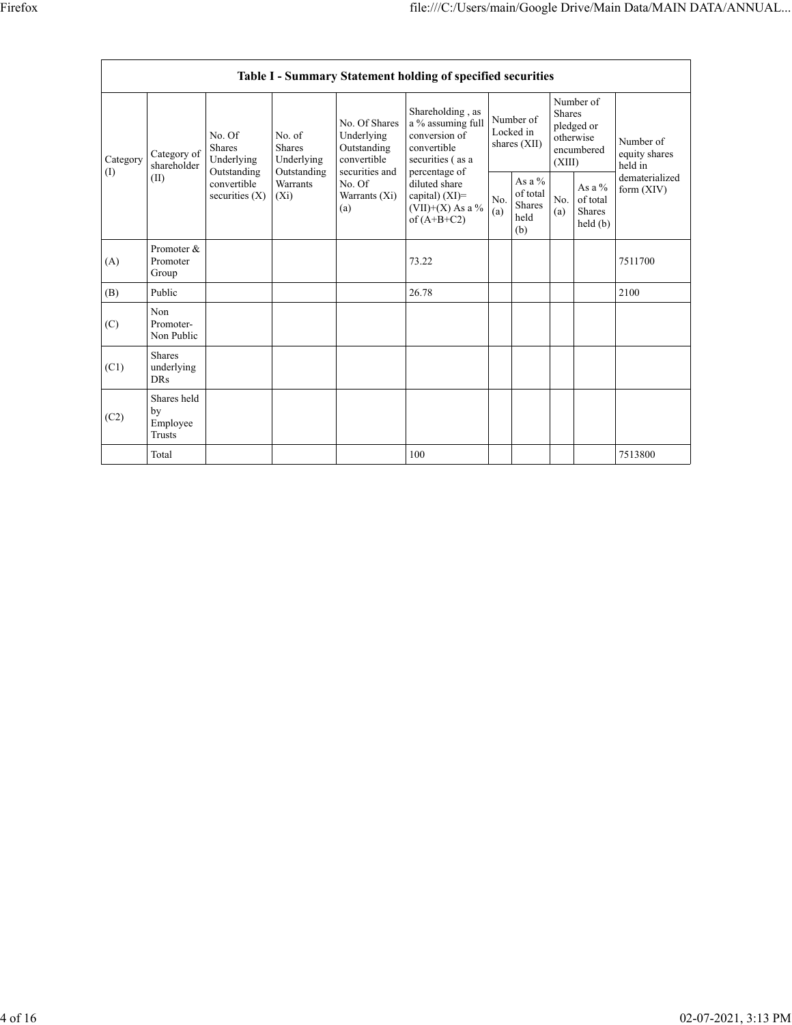|                                            | Table I - Summary Statement holding of specified securities |                                                                                  |                                                      |                                                                                                               |                                                                                                                                                                                         |                                        |                                                      |                                                                               |                                           |                                       |  |  |  |
|--------------------------------------------|-------------------------------------------------------------|----------------------------------------------------------------------------------|------------------------------------------------------|---------------------------------------------------------------------------------------------------------------|-----------------------------------------------------------------------------------------------------------------------------------------------------------------------------------------|----------------------------------------|------------------------------------------------------|-------------------------------------------------------------------------------|-------------------------------------------|---------------------------------------|--|--|--|
| Category<br>$\textcircled{\scriptsize{1}}$ | Category of<br>shareholder<br>(II)                          | No. Of<br>Shares<br>Underlying<br>Outstanding<br>convertible<br>securities $(X)$ | No. of<br><b>Shares</b><br>Underlying<br>Outstanding | No. Of Shares<br>Underlying<br>Outstanding<br>convertible<br>securities and<br>No. Of<br>Warrants (Xi)<br>(a) | Shareholding, as<br>a % assuming full<br>conversion of<br>convertible<br>securities (as a<br>percentage of<br>diluted share<br>capital) $(XI)$ =<br>$(VII)+(X)$ As a %<br>of $(A+B+C2)$ | Number of<br>Locked in<br>shares (XII) |                                                      | Number of<br><b>Shares</b><br>pledged or<br>otherwise<br>encumbered<br>(XIII) |                                           | Number of<br>equity shares<br>held in |  |  |  |
|                                            |                                                             |                                                                                  | <b>Warrants</b><br>$(X_i)$                           |                                                                                                               |                                                                                                                                                                                         | No.<br>(a)                             | As a $%$<br>of total<br><b>Shares</b><br>held<br>(b) | No.<br>(a)                                                                    | As a $%$<br>of total<br>Shares<br>held(b) | dematerialized<br>form $(XIV)$        |  |  |  |
| (A)                                        | Promoter &<br>Promoter<br>Group                             |                                                                                  |                                                      |                                                                                                               | 73.22                                                                                                                                                                                   |                                        |                                                      |                                                                               |                                           | 7511700                               |  |  |  |
| (B)                                        | Public                                                      |                                                                                  |                                                      |                                                                                                               | 26.78                                                                                                                                                                                   |                                        |                                                      |                                                                               |                                           | 2100                                  |  |  |  |
| (C)                                        | Non<br>Promoter-<br>Non Public                              |                                                                                  |                                                      |                                                                                                               |                                                                                                                                                                                         |                                        |                                                      |                                                                               |                                           |                                       |  |  |  |
| (C1)                                       | <b>Shares</b><br>underlying<br><b>DRs</b>                   |                                                                                  |                                                      |                                                                                                               |                                                                                                                                                                                         |                                        |                                                      |                                                                               |                                           |                                       |  |  |  |
| (C2)                                       | Shares held<br>by<br>Employee<br>Trusts                     |                                                                                  |                                                      |                                                                                                               |                                                                                                                                                                                         |                                        |                                                      |                                                                               |                                           |                                       |  |  |  |
|                                            | Total                                                       |                                                                                  |                                                      |                                                                                                               | 100                                                                                                                                                                                     |                                        |                                                      |                                                                               |                                           | 7513800                               |  |  |  |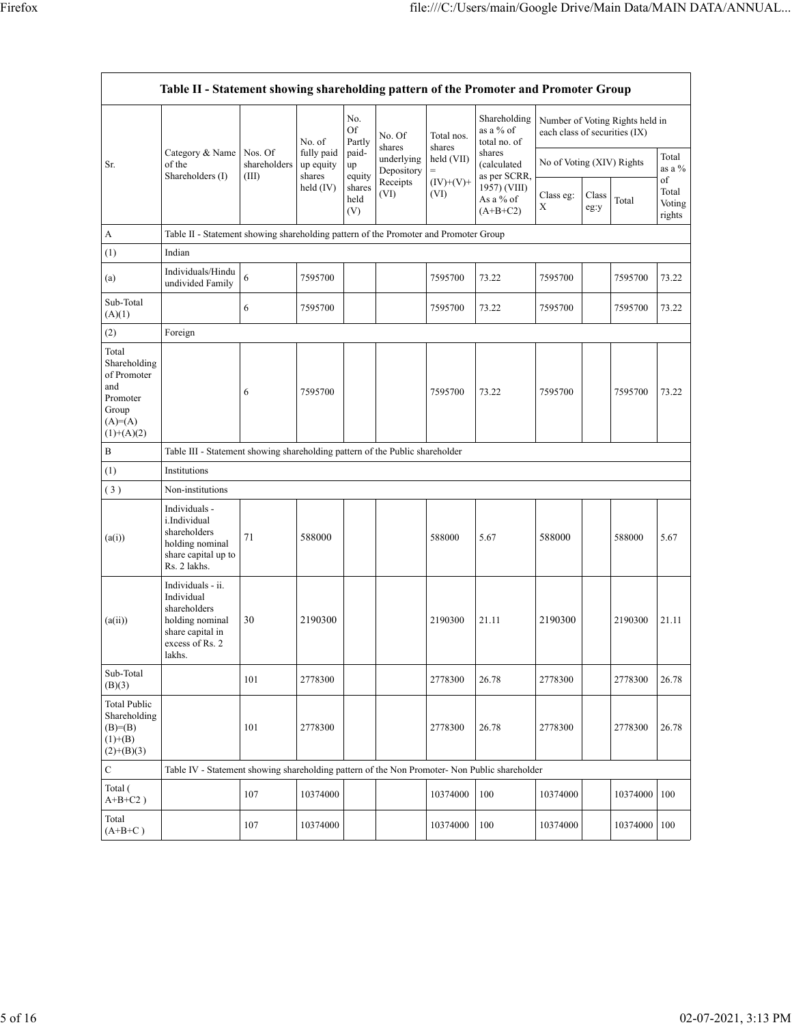|                                                                                               | Table II - Statement showing shareholding pattern of the Promoter and Promoter Group                                |                                                                              |                                                            |                                 |                                                                  |                      |                                                         |                               |               |                                 |                                 |  |  |
|-----------------------------------------------------------------------------------------------|---------------------------------------------------------------------------------------------------------------------|------------------------------------------------------------------------------|------------------------------------------------------------|---------------------------------|------------------------------------------------------------------|----------------------|---------------------------------------------------------|-------------------------------|---------------|---------------------------------|---------------------------------|--|--|
|                                                                                               |                                                                                                                     |                                                                              | No. of<br>fully paid<br>up equity<br>shares<br>held $(IV)$ | No.<br>Of<br>Partly             | No. Of<br>shares<br>underlying<br>Depository<br>Receipts<br>(VI) | Total nos.<br>shares | Shareholding<br>as a % of<br>total no. of               | each class of securities (IX) |               | Number of Voting Rights held in |                                 |  |  |
| Sr.                                                                                           | Category & Name<br>of the                                                                                           | Nos. Of<br>shareholders                                                      |                                                            | paid-<br>up                     |                                                                  | held (VII)<br>$=$    | shares<br>(calculated                                   | No of Voting (XIV) Rights     |               |                                 | Total<br>as a $%$               |  |  |
|                                                                                               | Shareholders (I)                                                                                                    | (III)                                                                        |                                                            | equity<br>shares<br>held<br>(V) |                                                                  | $(IV)+(V)+$<br>(VI)  | as per SCRR,<br>1957) (VIII)<br>As a % of<br>$(A+B+C2)$ | Class eg:<br>X                | Class<br>eg:y | Total                           | of<br>Total<br>Voting<br>rights |  |  |
| A                                                                                             | Table II - Statement showing shareholding pattern of the Promoter and Promoter Group                                |                                                                              |                                                            |                                 |                                                                  |                      |                                                         |                               |               |                                 |                                 |  |  |
| (1)                                                                                           | Indian                                                                                                              |                                                                              |                                                            |                                 |                                                                  |                      |                                                         |                               |               |                                 |                                 |  |  |
| (a)                                                                                           | Individuals/Hindu<br>undivided Family                                                                               | 6                                                                            | 7595700                                                    |                                 |                                                                  | 7595700              | 73.22                                                   | 7595700                       |               | 7595700                         | 73.22                           |  |  |
| Sub-Total<br>(A)(1)                                                                           |                                                                                                                     | 6                                                                            | 7595700                                                    |                                 |                                                                  | 7595700              | 73.22                                                   | 7595700                       |               | 7595700                         | 73.22                           |  |  |
| (2)                                                                                           | Foreign                                                                                                             |                                                                              |                                                            |                                 |                                                                  |                      |                                                         |                               |               |                                 |                                 |  |  |
| Total<br>Shareholding<br>of Promoter<br>and<br>Promoter<br>Group<br>$(A)=(A)$<br>$(1)+(A)(2)$ |                                                                                                                     | 6                                                                            | 7595700                                                    |                                 |                                                                  | 7595700              | 73.22                                                   | 7595700                       |               | 7595700                         | 73.22                           |  |  |
| B                                                                                             |                                                                                                                     | Table III - Statement showing shareholding pattern of the Public shareholder |                                                            |                                 |                                                                  |                      |                                                         |                               |               |                                 |                                 |  |  |
| (1)                                                                                           | Institutions                                                                                                        |                                                                              |                                                            |                                 |                                                                  |                      |                                                         |                               |               |                                 |                                 |  |  |
| (3)                                                                                           | Non-institutions                                                                                                    |                                                                              |                                                            |                                 |                                                                  |                      |                                                         |                               |               |                                 |                                 |  |  |
| (a(i))                                                                                        | Individuals -<br>i.Individual<br>shareholders<br>holding nominal<br>share capital up to<br>Rs. 2 lakhs.             | 71                                                                           | 588000                                                     |                                 |                                                                  | 588000               | 5.67                                                    | 588000                        |               | 588000                          | 5.67                            |  |  |
| (a(ii))                                                                                       | Individuals - ii.<br>Individual<br>shareholders<br>holding nominal<br>share capital in<br>excess of Rs. 2<br>lakhs. | 30                                                                           | 2190300                                                    |                                 |                                                                  | 2190300              | 21.11                                                   | 2190300                       |               | 2190300                         | 21.11                           |  |  |
| Sub-Total<br>(B)(3)                                                                           |                                                                                                                     | 101                                                                          | 2778300                                                    |                                 |                                                                  | 2778300              | 26.78                                                   | 2778300                       |               | 2778300                         | 26.78                           |  |  |
| <b>Total Public</b><br>Shareholding<br>$(B)=B)$<br>$(1)+(B)$<br>$(2)+(B)(3)$                  |                                                                                                                     | 101                                                                          | 2778300                                                    |                                 |                                                                  | 2778300              | 26.78                                                   | 2778300                       |               | 2778300                         | 26.78                           |  |  |
| $\mathbf C$                                                                                   | Table IV - Statement showing shareholding pattern of the Non Promoter- Non Public shareholder                       |                                                                              |                                                            |                                 |                                                                  |                      |                                                         |                               |               |                                 |                                 |  |  |
| Total (<br>$A+B+C2$ )                                                                         |                                                                                                                     | 107                                                                          | 10374000                                                   |                                 |                                                                  | 10374000             | 100                                                     | 10374000                      |               | 10374000                        | 100                             |  |  |
| Total<br>$(A+B+C)$                                                                            |                                                                                                                     | 107                                                                          | 10374000                                                   |                                 |                                                                  | 10374000             | 100                                                     | 10374000                      |               | 10374000                        | 100                             |  |  |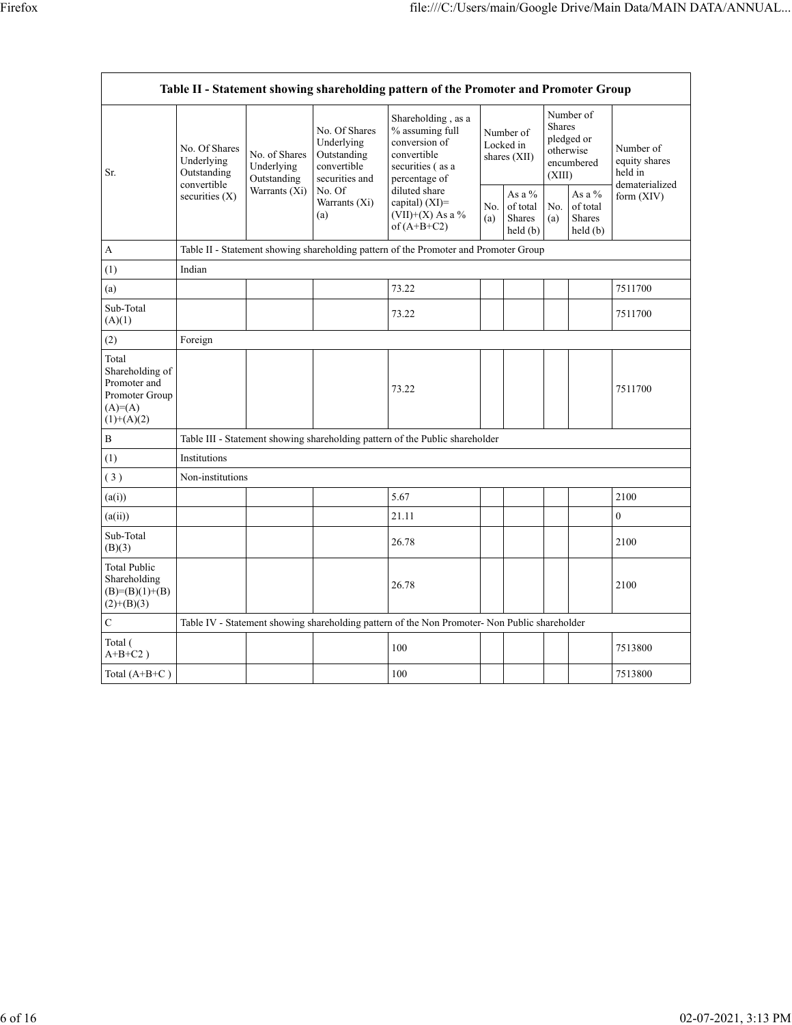| Table II - Statement showing shareholding pattern of the Promoter and Promoter Group     |                                            |                                                                            |                                                                                                               |                                                                                                                                                                                       |            |                                            |                                                                               |                                                   |                                                         |  |  |
|------------------------------------------------------------------------------------------|--------------------------------------------|----------------------------------------------------------------------------|---------------------------------------------------------------------------------------------------------------|---------------------------------------------------------------------------------------------------------------------------------------------------------------------------------------|------------|--------------------------------------------|-------------------------------------------------------------------------------|---------------------------------------------------|---------------------------------------------------------|--|--|
| Sr.                                                                                      | No. Of Shares<br>Underlying<br>Outstanding | No. of Shares<br>Underlying<br>Outstanding<br>convertible<br>Warrants (Xi) | No. Of Shares<br>Underlying<br>Outstanding<br>convertible<br>securities and<br>No. Of<br>Warrants (Xi)<br>(a) | Shareholding, as a<br>% assuming full<br>conversion of<br>convertible<br>securities (as a<br>percentage of<br>diluted share<br>capital) $(XI)$ =<br>(VII)+(X) As a %<br>of $(A+B+C2)$ |            | Number of<br>Locked in<br>shares $(XII)$   | Number of<br><b>Shares</b><br>pledged or<br>otherwise<br>encumbered<br>(XIII) |                                                   | Number of<br>equity shares<br>held in<br>dematerialized |  |  |
|                                                                                          | securities (X)                             |                                                                            |                                                                                                               |                                                                                                                                                                                       | No.<br>(a) | As a $%$<br>of total<br>Shares<br>held (b) | No.<br>(a)                                                                    | As a $%$<br>of total<br><b>Shares</b><br>held (b) | form (XIV)                                              |  |  |
| A                                                                                        |                                            |                                                                            |                                                                                                               | Table II - Statement showing shareholding pattern of the Promoter and Promoter Group                                                                                                  |            |                                            |                                                                               |                                                   |                                                         |  |  |
| (1)                                                                                      | Indian                                     |                                                                            |                                                                                                               |                                                                                                                                                                                       |            |                                            |                                                                               |                                                   |                                                         |  |  |
| (a)                                                                                      |                                            |                                                                            |                                                                                                               | 73.22                                                                                                                                                                                 |            |                                            |                                                                               |                                                   | 7511700                                                 |  |  |
| Sub-Total<br>(A)(1)                                                                      |                                            |                                                                            |                                                                                                               | 73.22                                                                                                                                                                                 |            |                                            |                                                                               |                                                   | 7511700                                                 |  |  |
| (2)                                                                                      | Foreign                                    |                                                                            |                                                                                                               |                                                                                                                                                                                       |            |                                            |                                                                               |                                                   |                                                         |  |  |
| Total<br>Shareholding of<br>Promoter and<br>Promoter Group<br>$(A)= (A)$<br>$(1)+(A)(2)$ |                                            |                                                                            |                                                                                                               | 73.22                                                                                                                                                                                 |            |                                            |                                                                               |                                                   | 7511700                                                 |  |  |
| B                                                                                        |                                            |                                                                            |                                                                                                               | Table III - Statement showing shareholding pattern of the Public shareholder                                                                                                          |            |                                            |                                                                               |                                                   |                                                         |  |  |
| (1)                                                                                      | Institutions                               |                                                                            |                                                                                                               |                                                                                                                                                                                       |            |                                            |                                                                               |                                                   |                                                         |  |  |
| (3)                                                                                      | Non-institutions                           |                                                                            |                                                                                                               |                                                                                                                                                                                       |            |                                            |                                                                               |                                                   |                                                         |  |  |
| (a(i))                                                                                   |                                            |                                                                            |                                                                                                               | 5.67                                                                                                                                                                                  |            |                                            |                                                                               |                                                   | 2100                                                    |  |  |
| (a(ii))                                                                                  |                                            |                                                                            |                                                                                                               | 21.11                                                                                                                                                                                 |            |                                            |                                                                               |                                                   | $\mathbf{0}$                                            |  |  |
| Sub-Total<br>(B)(3)                                                                      |                                            |                                                                            |                                                                                                               | 26.78                                                                                                                                                                                 |            |                                            |                                                                               |                                                   | 2100                                                    |  |  |
| <b>Total Public</b><br>Shareholding<br>$(B)= (B)(1)+(B)$<br>$(2)+(B)(3)$                 |                                            |                                                                            |                                                                                                               | 26.78                                                                                                                                                                                 |            |                                            |                                                                               |                                                   | 2100                                                    |  |  |
| C                                                                                        |                                            |                                                                            |                                                                                                               | Table IV - Statement showing shareholding pattern of the Non Promoter- Non Public shareholder                                                                                         |            |                                            |                                                                               |                                                   |                                                         |  |  |
| Total (<br>$A+B+C2$ )                                                                    |                                            |                                                                            |                                                                                                               | 100                                                                                                                                                                                   |            |                                            |                                                                               |                                                   | 7513800                                                 |  |  |
| Total $(A+B+C)$                                                                          |                                            |                                                                            |                                                                                                               | 100                                                                                                                                                                                   |            |                                            |                                                                               |                                                   | 7513800                                                 |  |  |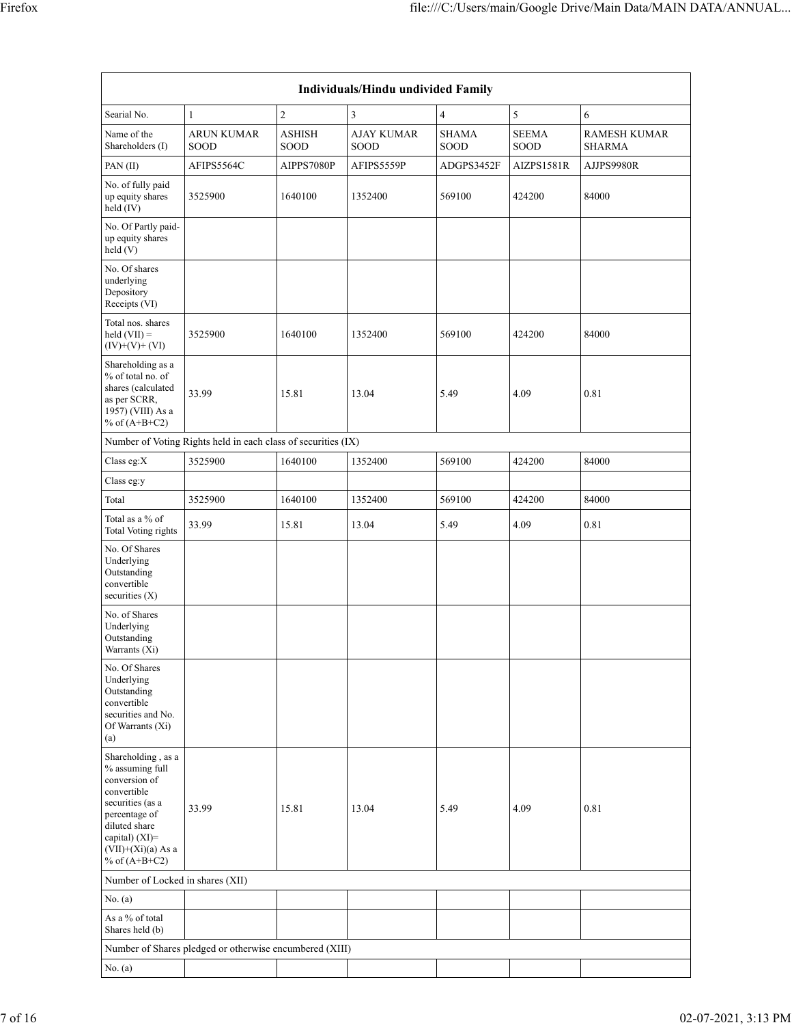| Individuals/Hindu undivided Family                                                                                                                                                       |                                                               |                       |                           |                      |                      |                                      |  |  |  |  |  |
|------------------------------------------------------------------------------------------------------------------------------------------------------------------------------------------|---------------------------------------------------------------|-----------------------|---------------------------|----------------------|----------------------|--------------------------------------|--|--|--|--|--|
| Searial No.                                                                                                                                                                              | $\mathbf{1}$                                                  | $\sqrt{2}$            | 3                         | 4                    | $\sqrt{5}$           | 6                                    |  |  |  |  |  |
| Name of the<br>Shareholders (I)                                                                                                                                                          | <b>ARUN KUMAR</b><br>SOOD                                     | <b>ASHISH</b><br>SOOD | <b>AJAY KUMAR</b><br>SOOD | <b>SHAMA</b><br>SOOD | <b>SEEMA</b><br>SOOD | <b>RAMESH KUMAR</b><br><b>SHARMA</b> |  |  |  |  |  |
| PAN(II)                                                                                                                                                                                  | AFIPS5564C                                                    | AIPPS7080P            | AFIPS5559P                | ADGPS3452F           | AIZPS1581R           | AJJPS9980R                           |  |  |  |  |  |
| No. of fully paid<br>up equity shares<br>held (IV)                                                                                                                                       | 3525900                                                       | 1640100               | 1352400                   | 569100               | 424200               | 84000                                |  |  |  |  |  |
| No. Of Partly paid-<br>up equity shares<br>held (V)                                                                                                                                      |                                                               |                       |                           |                      |                      |                                      |  |  |  |  |  |
| No. Of shares<br>underlying<br>Depository<br>Receipts (VI)                                                                                                                               |                                                               |                       |                           |                      |                      |                                      |  |  |  |  |  |
| Total nos. shares<br>$held (VII) =$<br>$(IV)+(V)+(VI)$                                                                                                                                   | 3525900                                                       | 1640100               | 1352400                   | 569100               | 424200               | 84000                                |  |  |  |  |  |
| Shareholding as a<br>% of total no. of<br>shares (calculated<br>as per SCRR,<br>1957) (VIII) As a<br>% of $(A+B+C2)$                                                                     | 33.99                                                         | 15.81                 | 13.04                     | 5.49                 | 4.09                 | 0.81                                 |  |  |  |  |  |
|                                                                                                                                                                                          | Number of Voting Rights held in each class of securities (IX) |                       |                           |                      |                      |                                      |  |  |  |  |  |
| Class eg:X                                                                                                                                                                               | 3525900                                                       | 1640100               | 1352400                   | 569100               | 424200               | 84000                                |  |  |  |  |  |
| Class eg:y                                                                                                                                                                               |                                                               |                       |                           |                      |                      |                                      |  |  |  |  |  |
| Total                                                                                                                                                                                    | 3525900                                                       | 1640100               | 1352400                   | 569100               | 424200               | 84000                                |  |  |  |  |  |
| Total as a % of<br><b>Total Voting rights</b>                                                                                                                                            | 33.99                                                         | 15.81                 | 13.04                     | 5.49                 | 4.09                 | 0.81                                 |  |  |  |  |  |
| No. Of Shares<br>Underlying<br>Outstanding<br>convertible<br>securities $(X)$                                                                                                            |                                                               |                       |                           |                      |                      |                                      |  |  |  |  |  |
| No. of Shares<br>Underlying<br>Outstanding<br>Warrants (Xi)                                                                                                                              |                                                               |                       |                           |                      |                      |                                      |  |  |  |  |  |
| No. Of Shares<br>Underlying<br>Outstanding<br>convertible<br>securities and No.<br>Of Warrants (Xi)<br>(a)                                                                               |                                                               |                       |                           |                      |                      |                                      |  |  |  |  |  |
| Shareholding, as a<br>% assuming full<br>conversion of<br>convertible<br>securities (as a<br>percentage of<br>diluted share<br>capital) (XI)=<br>$(VII)+(Xi)(a)$ As a<br>% of $(A+B+C2)$ | 33.99                                                         | 15.81                 | 13.04                     | 5.49                 | 4.09                 | 0.81                                 |  |  |  |  |  |
| Number of Locked in shares (XII)                                                                                                                                                         |                                                               |                       |                           |                      |                      |                                      |  |  |  |  |  |
| No. $(a)$                                                                                                                                                                                |                                                               |                       |                           |                      |                      |                                      |  |  |  |  |  |
| As a % of total<br>Shares held (b)                                                                                                                                                       |                                                               |                       |                           |                      |                      |                                      |  |  |  |  |  |
|                                                                                                                                                                                          | Number of Shares pledged or otherwise encumbered (XIII)       |                       |                           |                      |                      |                                      |  |  |  |  |  |
| No. $(a)$                                                                                                                                                                                |                                                               |                       |                           |                      |                      |                                      |  |  |  |  |  |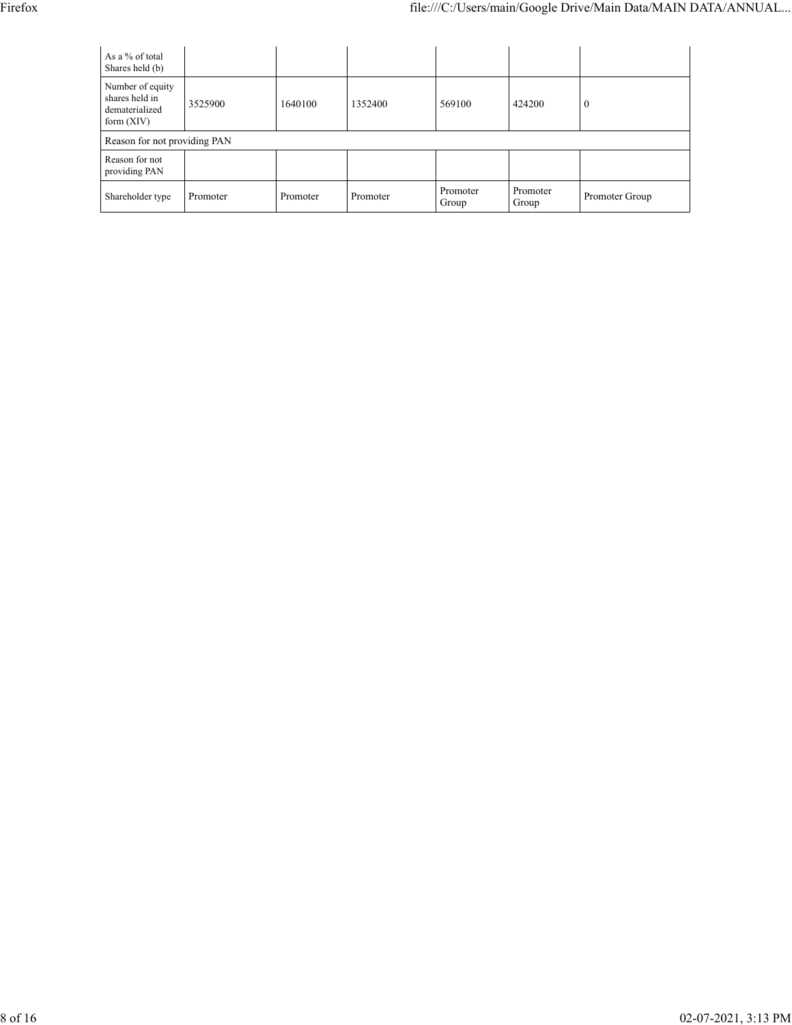| As a % of total<br>Shares held (b)                                   |          |          |          |                   |                   |                |
|----------------------------------------------------------------------|----------|----------|----------|-------------------|-------------------|----------------|
| Number of equity<br>shares held in<br>dematerialized<br>form $(XIV)$ | 3525900  | 1640100  | 1352400  | 569100            | 424200            | $\theta$       |
| Reason for not providing PAN                                         |          |          |          |                   |                   |                |
| Reason for not<br>providing PAN                                      |          |          |          |                   |                   |                |
| Shareholder type                                                     | Promoter | Promoter | Promoter | Promoter<br>Group | Promoter<br>Group | Promoter Group |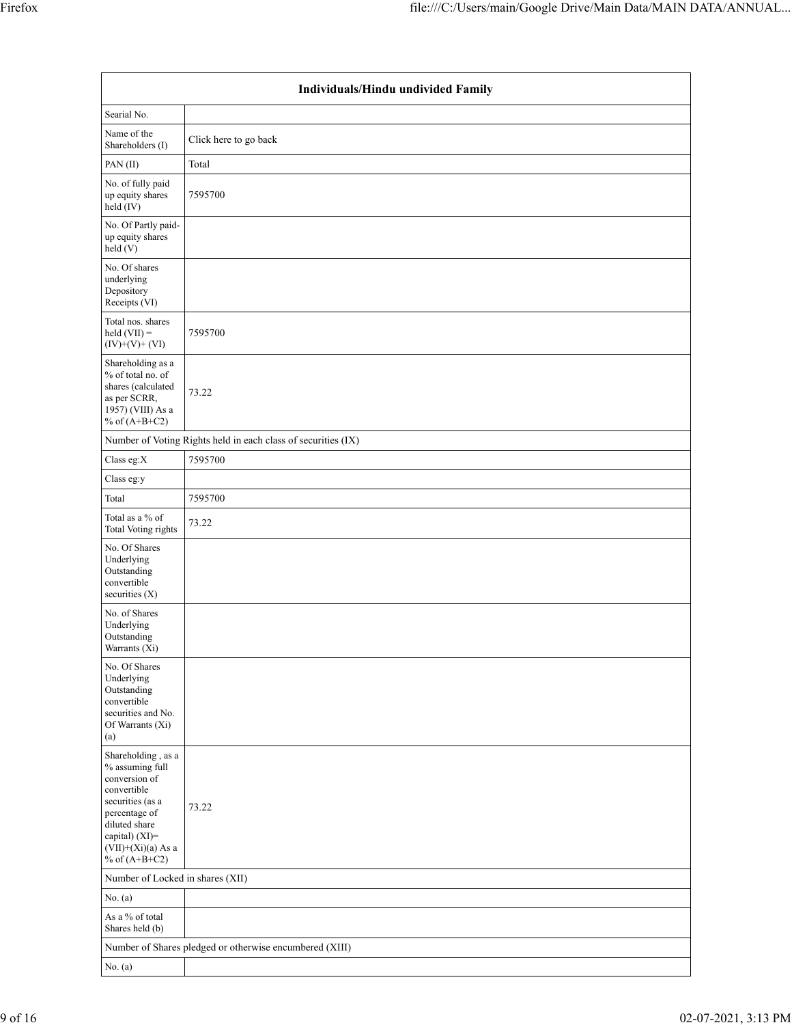|                                                                                                                                                                                          | Individuals/Hindu undivided Family                            |  |  |  |  |  |  |  |  |  |
|------------------------------------------------------------------------------------------------------------------------------------------------------------------------------------------|---------------------------------------------------------------|--|--|--|--|--|--|--|--|--|
| Searial No.                                                                                                                                                                              |                                                               |  |  |  |  |  |  |  |  |  |
| Name of the<br>Shareholders (I)                                                                                                                                                          | Click here to go back                                         |  |  |  |  |  |  |  |  |  |
| PAN(II)                                                                                                                                                                                  | Total                                                         |  |  |  |  |  |  |  |  |  |
| No. of fully paid<br>up equity shares<br>$held$ (IV)                                                                                                                                     | 7595700                                                       |  |  |  |  |  |  |  |  |  |
| No. Of Partly paid-<br>up equity shares<br>held (V)                                                                                                                                      |                                                               |  |  |  |  |  |  |  |  |  |
| No. Of shares<br>underlying<br>Depository<br>Receipts (VI)                                                                                                                               |                                                               |  |  |  |  |  |  |  |  |  |
| Total nos. shares<br>$held (VII) =$<br>$(IV)+(V)+(VI)$                                                                                                                                   | 7595700                                                       |  |  |  |  |  |  |  |  |  |
| Shareholding as a<br>% of total no. of<br>shares (calculated<br>as per SCRR,<br>1957) (VIII) As a<br>% of $(A+B+C2)$                                                                     | 73.22                                                         |  |  |  |  |  |  |  |  |  |
|                                                                                                                                                                                          | Number of Voting Rights held in each class of securities (IX) |  |  |  |  |  |  |  |  |  |
| Class eg:X                                                                                                                                                                               | 7595700                                                       |  |  |  |  |  |  |  |  |  |
| Class eg:y                                                                                                                                                                               |                                                               |  |  |  |  |  |  |  |  |  |
| Total                                                                                                                                                                                    | 7595700                                                       |  |  |  |  |  |  |  |  |  |
| Total as a % of<br>Total Voting rights                                                                                                                                                   | 73.22                                                         |  |  |  |  |  |  |  |  |  |
| No. Of Shares<br>Underlying<br>Outstanding<br>convertible<br>securities $(X)$                                                                                                            |                                                               |  |  |  |  |  |  |  |  |  |
| No. of Shares<br>Underlying<br>Outstanding<br>Warrants (Xi)                                                                                                                              |                                                               |  |  |  |  |  |  |  |  |  |
| No. Of Shares<br>Underlying<br>Outstanding<br>convertible<br>securities and No.<br>Of Warrants (Xi)<br>(a)                                                                               |                                                               |  |  |  |  |  |  |  |  |  |
| Shareholding, as a<br>% assuming full<br>conversion of<br>convertible<br>securities (as a<br>percentage of<br>diluted share<br>capital) (XI)=<br>$(VII)+(Xi)(a)$ As a<br>% of $(A+B+C2)$ | 73.22                                                         |  |  |  |  |  |  |  |  |  |
| Number of Locked in shares (XII)                                                                                                                                                         |                                                               |  |  |  |  |  |  |  |  |  |
| No. (a)                                                                                                                                                                                  |                                                               |  |  |  |  |  |  |  |  |  |
| As a % of total<br>Shares held (b)                                                                                                                                                       |                                                               |  |  |  |  |  |  |  |  |  |
|                                                                                                                                                                                          | Number of Shares pledged or otherwise encumbered (XIII)       |  |  |  |  |  |  |  |  |  |
| No. (a)                                                                                                                                                                                  |                                                               |  |  |  |  |  |  |  |  |  |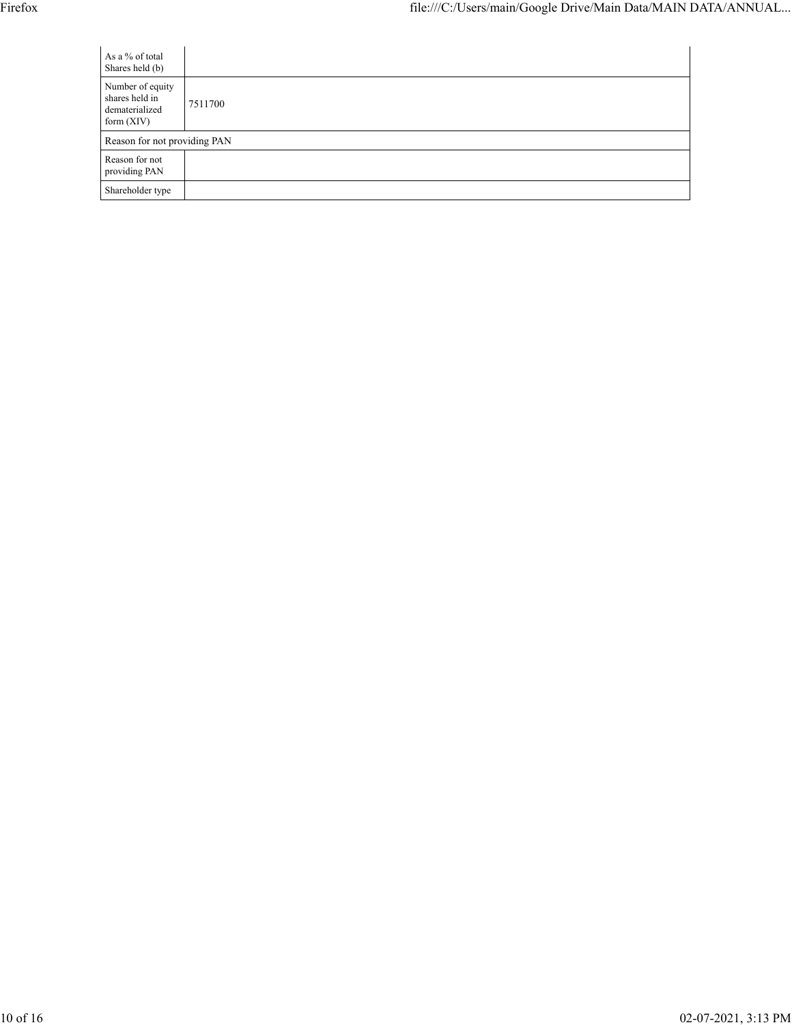| As a % of total<br>Shares held (b)                                   |                              |  |  |  |  |  |  |  |  |
|----------------------------------------------------------------------|------------------------------|--|--|--|--|--|--|--|--|
| Number of equity<br>shares held in<br>dematerialized<br>form $(XIV)$ | 7511700                      |  |  |  |  |  |  |  |  |
|                                                                      | Reason for not providing PAN |  |  |  |  |  |  |  |  |
| Reason for not<br>providing PAN                                      |                              |  |  |  |  |  |  |  |  |
| Shareholder type                                                     |                              |  |  |  |  |  |  |  |  |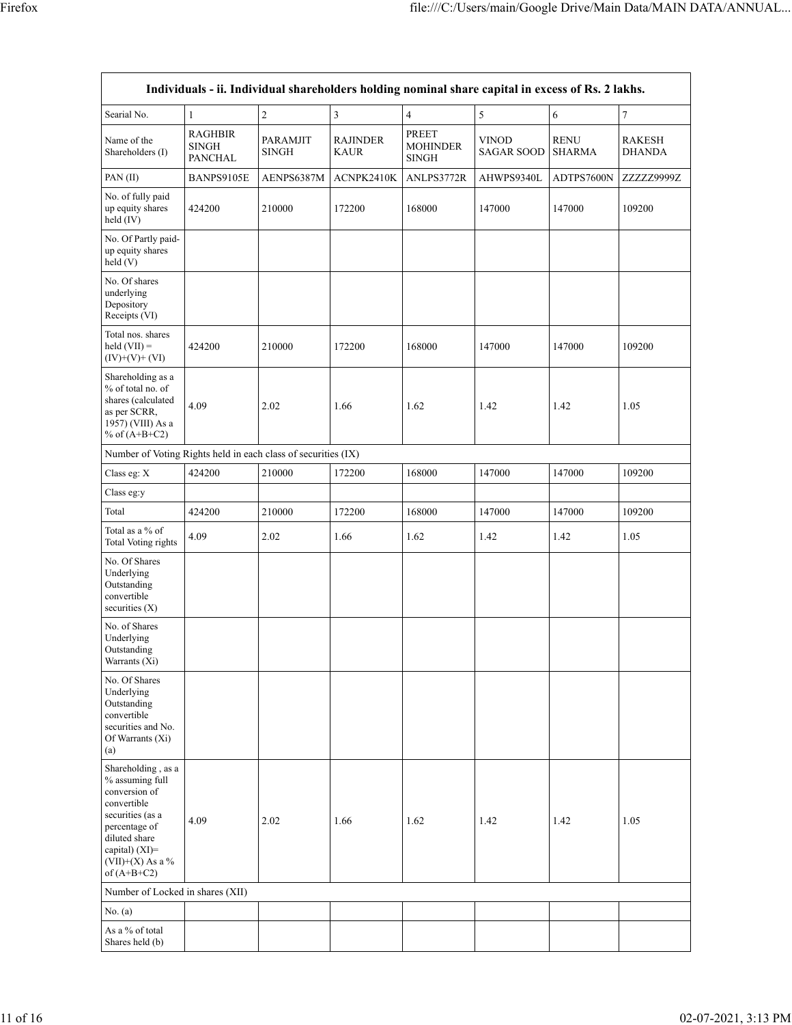|                                                                                                                                                                                         |                                                  |                          |                         |                                                 | Individuals - ii. Individual shareholders holding nominal share capital in excess of Rs. 2 lakhs. |                              |                                |
|-----------------------------------------------------------------------------------------------------------------------------------------------------------------------------------------|--------------------------------------------------|--------------------------|-------------------------|-------------------------------------------------|---------------------------------------------------------------------------------------------------|------------------------------|--------------------------------|
| Searial No.                                                                                                                                                                             | $\mathbf{1}$                                     | $\sqrt{2}$               | 3                       | $\overline{4}$                                  | 5                                                                                                 | 6                            | $\sqrt{ }$                     |
| Name of the<br>Shareholders (I)                                                                                                                                                         | <b>RAGHBIR</b><br><b>SINGH</b><br><b>PANCHAL</b> | PARAMJIT<br><b>SINGH</b> | <b>RAJINDER</b><br>KAUR | <b>PREET</b><br><b>MOHINDER</b><br><b>SINGH</b> | <b>VINOD</b><br><b>SAGAR SOOD</b>                                                                 | <b>RENU</b><br><b>SHARMA</b> | <b>RAKESH</b><br><b>DHANDA</b> |
| PAN(II)                                                                                                                                                                                 | BANPS9105E                                       | AENPS6387M               | ACNPK2410K              | ANLPS3772R                                      | AHWPS9340L                                                                                        | ADTPS7600N                   | ZZZZZ9999Z                     |
| No. of fully paid<br>up equity shares<br>held (IV)                                                                                                                                      | 424200                                           | 210000                   | 172200                  | 168000                                          | 147000                                                                                            | 147000                       | 109200                         |
| No. Of Partly paid-<br>up equity shares<br>held(V)                                                                                                                                      |                                                  |                          |                         |                                                 |                                                                                                   |                              |                                |
| No. Of shares<br>underlying<br>Depository<br>Receipts (VI)                                                                                                                              |                                                  |                          |                         |                                                 |                                                                                                   |                              |                                |
| Total nos. shares<br>held $(VII) =$<br>$(IV)+(V)+(VI)$                                                                                                                                  | 424200                                           | 210000                   | 172200                  | 168000                                          | 147000                                                                                            | 147000                       | 109200                         |
| Shareholding as a<br>% of total no. of<br>shares (calculated<br>as per SCRR,<br>1957) (VIII) As a<br>% of $(A+B+C2)$                                                                    | 4.09                                             | 2.02                     | 1.66                    | 1.62                                            | 1.42                                                                                              | 1.42                         | 1.05                           |
| Number of Voting Rights held in each class of securities (IX)                                                                                                                           |                                                  |                          |                         |                                                 |                                                                                                   |                              |                                |
| Class eg: X                                                                                                                                                                             | 424200                                           | 210000                   | 172200                  | 168000                                          | 147000                                                                                            | 147000                       | 109200                         |
| Class eg:y                                                                                                                                                                              |                                                  |                          |                         |                                                 |                                                                                                   |                              |                                |
| Total                                                                                                                                                                                   | 424200                                           | 210000                   | 172200                  | 168000                                          | 147000                                                                                            | 147000                       | 109200                         |
| Total as a % of<br><b>Total Voting rights</b>                                                                                                                                           | 4.09                                             | 2.02                     | 1.66                    | 1.62                                            | 1.42                                                                                              | 1.42                         | 1.05                           |
| No. Of Shares<br>Underlying<br>Outstanding<br>convertible<br>securities $(X)$                                                                                                           |                                                  |                          |                         |                                                 |                                                                                                   |                              |                                |
| No. of Shares<br>Underlying<br>Outstanding<br>Warrants (Xi)                                                                                                                             |                                                  |                          |                         |                                                 |                                                                                                   |                              |                                |
| No. Of Shares<br>Underlying<br>Outstanding<br>convertible<br>securities and No.<br>Of Warrants (Xi)<br>(a)                                                                              |                                                  |                          |                         |                                                 |                                                                                                   |                              |                                |
| Shareholding, as a<br>% assuming full<br>conversion of<br>convertible<br>securities (as a<br>percentage of<br>diluted share<br>capital) $(XI)$ =<br>(VII)+(X) As a $%$<br>of $(A+B+C2)$ | 4.09                                             | 2.02                     | 1.66                    | 1.62                                            | 1.42                                                                                              | 1.42                         | 1.05                           |
| Number of Locked in shares (XII)                                                                                                                                                        |                                                  |                          |                         |                                                 |                                                                                                   |                              |                                |
| No. (a)                                                                                                                                                                                 |                                                  |                          |                         |                                                 |                                                                                                   |                              |                                |
| As a % of total<br>Shares held (b)                                                                                                                                                      |                                                  |                          |                         |                                                 |                                                                                                   |                              |                                |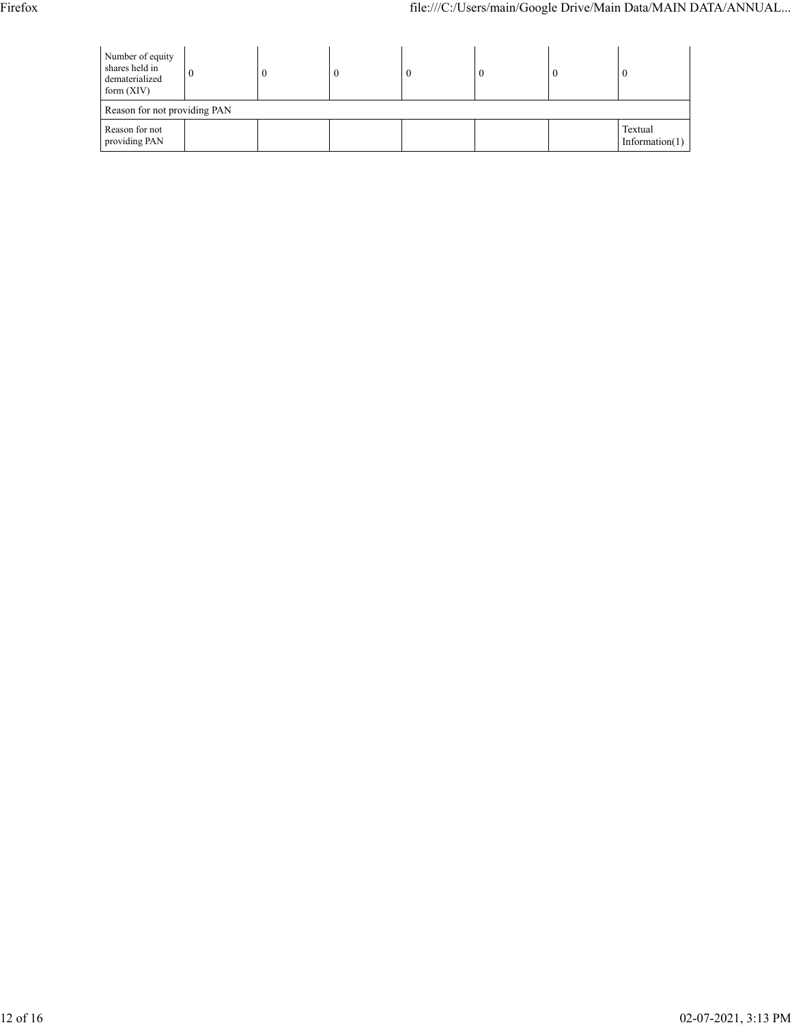| Number of equity<br>shares held in<br>dematerialized<br>form $(XIV)$ | v | $\theta$ |  | -0 | U |  |                              |  |  |  |
|----------------------------------------------------------------------|---|----------|--|----|---|--|------------------------------|--|--|--|
| Reason for not providing PAN                                         |   |          |  |    |   |  |                              |  |  |  |
| Reason for not<br>providing PAN                                      |   |          |  |    |   |  | Textual<br>Information $(1)$ |  |  |  |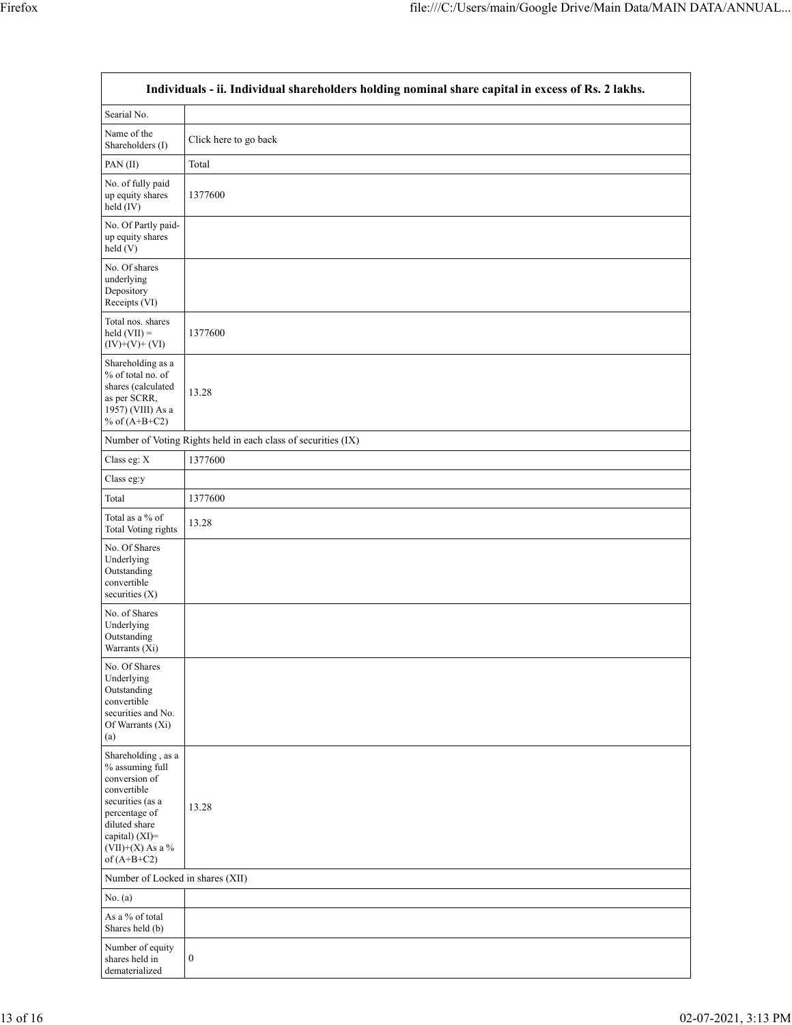| Individuals - ii. Individual shareholders holding nominal share capital in excess of Rs. 2 lakhs.                                                                                    |                                                               |  |  |
|--------------------------------------------------------------------------------------------------------------------------------------------------------------------------------------|---------------------------------------------------------------|--|--|
| Searial No.                                                                                                                                                                          |                                                               |  |  |
| Name of the<br>Shareholders (I)                                                                                                                                                      | Click here to go back                                         |  |  |
| PAN(II)                                                                                                                                                                              | Total                                                         |  |  |
| No. of fully paid<br>up equity shares<br>held (IV)                                                                                                                                   | 1377600                                                       |  |  |
| No. Of Partly paid-<br>up equity shares<br>held(V)                                                                                                                                   |                                                               |  |  |
| No. Of shares<br>underlying<br>Depository<br>Receipts (VI)                                                                                                                           |                                                               |  |  |
| Total nos. shares<br>held $(VII)$ =<br>$(IV)+(V)+(VI)$                                                                                                                               | 1377600                                                       |  |  |
| Shareholding as a<br>% of total no. of<br>shares (calculated<br>as per SCRR,<br>1957) (VIII) As a<br>% of $(A+B+C2)$                                                                 | 13.28                                                         |  |  |
|                                                                                                                                                                                      | Number of Voting Rights held in each class of securities (IX) |  |  |
| Class eg: X                                                                                                                                                                          | 1377600                                                       |  |  |
| Class eg:y                                                                                                                                                                           |                                                               |  |  |
| Total                                                                                                                                                                                | 1377600                                                       |  |  |
| Total as a % of<br><b>Total Voting rights</b>                                                                                                                                        | 13.28                                                         |  |  |
| No. Of Shares<br>Underlying<br>Outstanding<br>convertible<br>securities $(X)$                                                                                                        |                                                               |  |  |
| No. of Shares<br>Underlying<br>Outstanding<br>Warrants (Xi)                                                                                                                          |                                                               |  |  |
| No. Of Shares<br>Underlying<br>Outstanding<br>convertible<br>securities and No.<br>Of Warrants (Xi)<br>(a)                                                                           |                                                               |  |  |
| Shareholding, as a<br>% assuming full<br>conversion of<br>convertible<br>securities (as a<br>percentage of<br>diluted share<br>capital) (XI)=<br>(VII)+(X) As a $%$<br>of $(A+B+C2)$ | 13.28                                                         |  |  |
|                                                                                                                                                                                      | Number of Locked in shares (XII)                              |  |  |
| No. $(a)$                                                                                                                                                                            |                                                               |  |  |
| As a % of total<br>Shares held (b)                                                                                                                                                   |                                                               |  |  |
| Number of equity<br>shares held in<br>dematerialized                                                                                                                                 | $\boldsymbol{0}$                                              |  |  |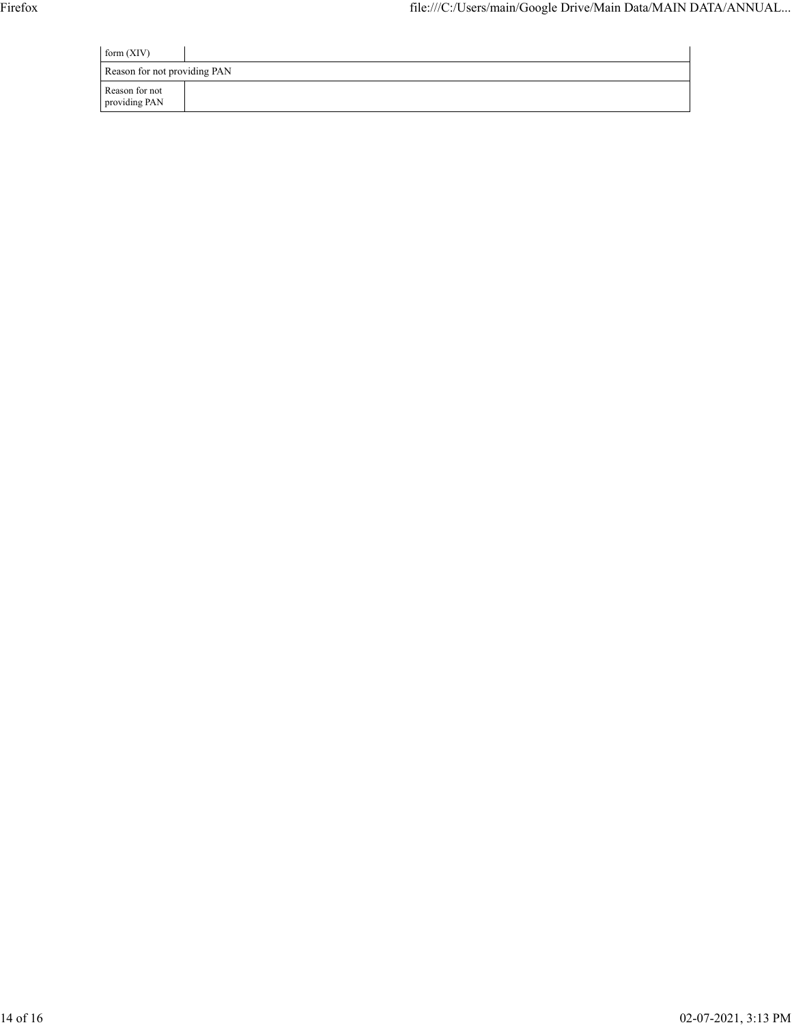| form $(XIV)$                    |  |  |  |
|---------------------------------|--|--|--|
| Reason for not providing PAN    |  |  |  |
| Reason for not<br>providing PAN |  |  |  |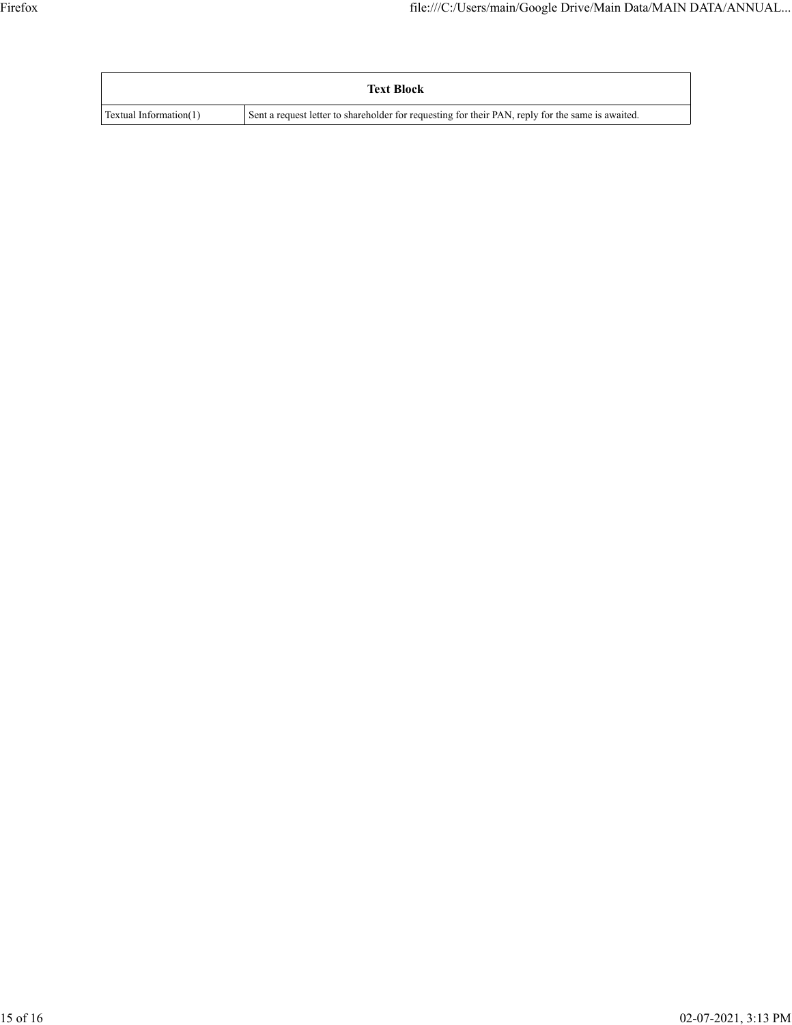|                        | <b>Text Block</b>                                                                                 |
|------------------------|---------------------------------------------------------------------------------------------------|
| Textual Information(1) | Sent a request letter to shareholder for requesting for their PAN, reply for the same is awaited. |